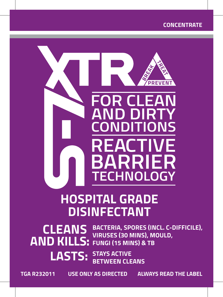#### **CONCENTRATE**



# **HOSPITAL GRADE DISINFECTANT**

**CLEANS AND KILLS:** FUNGI (15 MINS) & TB **BACTERIA, SPORES (INCL. C-DIFFICILE), VIRUSES (30 MINS), MOULD,** 

> **LASTS: STAYS ACTIVE BETWEEN CLEANS**

**TGA R232011 USE ONLY AS DIRECTED ALWAYS READ THE LABEL**